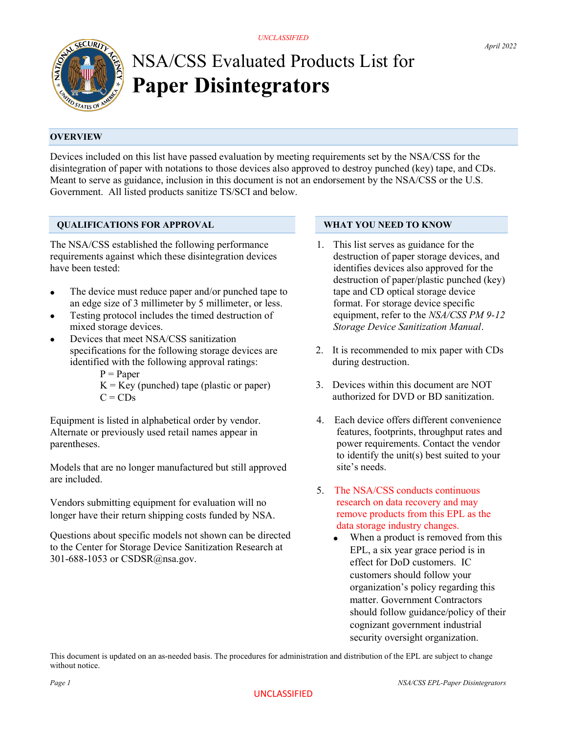

# NSA/CSS Evaluated Products List for Paper Disintegrators

# **OVERVIEW**

Devices included on this list have passed evaluation by meeting requirements set by the NSA/CSS for the disintegration of paper with notations to those devices also approved to destroy punched (key) tape, and CDs. Meant to serve as guidance, inclusion in this document is not an endorsement by the NSA/CSS or the U.S. Government. All listed products sanitize TS/SCI and below.

## QUALIFICATIONS FOR APPROVAL

The NSA/CSS established the following performance requirements against which these disintegration devices have been tested:

- The device must reduce paper and/or punched tape to an edge size of 3 millimeter by 5 millimeter, or less.
- Testing protocol includes the timed destruction of mixed storage devices.
- Devices that meet NSA/CSS sanitization specifications for the following storage devices are identified with the following approval ratings:
	- $P = Paper$
	- $K = Key$  (punched) tape (plastic or paper)  $C = CDs$

Equipment is listed in alphabetical order by vendor. Alternate or previously used retail names appear in parentheses.

Models that are no longer manufactured but still approved are included.

Vendors submitting equipment for evaluation will no longer have their return shipping costs funded by NSA.

Questions about specific models not shown can be directed to the Center for Storage Device Sanitization Research at 301-688-1053 or CSDSR@nsa.gov.

# WHAT YOU NEED TO KNOW

- 1. This list serves as guidance for the destruction of paper storage devices, and identifies devices also approved for the destruction of paper/plastic punched (key) tape and CD optical storage device format. For storage device specific equipment, refer to the NSA/CSS PM 9-12 Storage Device Sanitization Manual.
- 2. It is recommended to mix paper with CDs during destruction.
- 3. Devices within this document are NOT authorized for DVD or BD sanitization.
- 4. Each device offers different convenience features, footprints, throughput rates and power requirements. Contact the vendor to identify the unit(s) best suited to your site's needs.
- 5. The NSA/CSS conducts continuous research on data recovery and may remove products from this EPL as the data storage industry changes.
	- When a product is removed from this EPL, a six year grace period is in effect for DoD customers. IC customers should follow your organization's policy regarding this matter. Government Contractors should follow guidance/policy of their cognizant government industrial security oversight organization.

This document is updated on an as-needed basis. The procedures for administration and distribution of the EPL are subject to change without notice.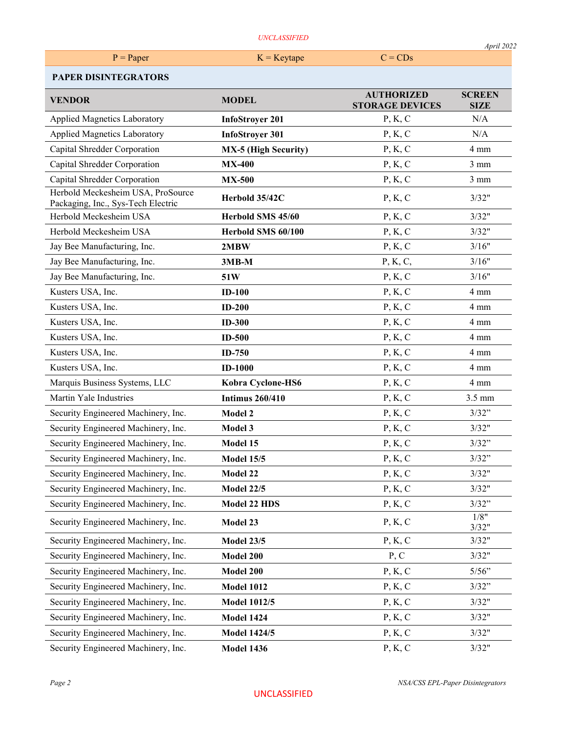| <b>UNCLASSIFIED</b>                                                     |                             |                                             |                              |  |
|-------------------------------------------------------------------------|-----------------------------|---------------------------------------------|------------------------------|--|
| $P = Paper$                                                             | $K = Key tape$              | $C = CDs$                                   | April 2022                   |  |
| <b>PAPER DISINTEGRATORS</b>                                             |                             |                                             |                              |  |
| <b>VENDOR</b>                                                           | <b>MODEL</b>                | <b>AUTHORIZED</b><br><b>STORAGE DEVICES</b> | <b>SCREEN</b><br><b>SIZE</b> |  |
| <b>Applied Magnetics Laboratory</b>                                     | <b>InfoStroyer 201</b>      | P, K, C                                     | N/A                          |  |
| <b>Applied Magnetics Laboratory</b>                                     | <b>InfoStroyer 301</b>      | P, K, C                                     | N/A                          |  |
| Capital Shredder Corporation                                            | <b>MX-5 (High Security)</b> | P, K, C                                     | 4 mm                         |  |
| Capital Shredder Corporation                                            | <b>MX-400</b>               | P, K, C                                     | $3 \text{ mm}$               |  |
| Capital Shredder Corporation                                            | <b>MX-500</b>               | P, K, C                                     | $3 \text{ mm}$               |  |
| Herbold Meckesheim USA, ProSource<br>Packaging, Inc., Sys-Tech Electric | Herbold 35/42C              | P, K, C                                     | 3/32"                        |  |
| Herbold Meckesheim USA                                                  | Herbold SMS 45/60           | P, K, C                                     | 3/32"                        |  |
| Herbold Meckesheim USA                                                  | Herbold SMS 60/100          | P, K, C                                     | 3/32"                        |  |
| Jay Bee Manufacturing, Inc.                                             | 2MBW                        | P, K, C                                     | 3/16"                        |  |
| Jay Bee Manufacturing, Inc.                                             | $3MB-M$                     | P, K, C,                                    | 3/16"                        |  |
| Jay Bee Manufacturing, Inc.                                             | 51W                         | P, K, C                                     | 3/16"                        |  |
| Kusters USA, Inc.                                                       | $ID-100$                    | P, K, C                                     | 4 mm                         |  |
| Kusters USA, Inc.                                                       | $ID-200$                    | P, K, C                                     | 4 mm                         |  |
| Kusters USA, Inc.                                                       | <b>ID-300</b>               | P, K, C                                     | 4 mm                         |  |
| Kusters USA, Inc.                                                       | <b>ID-500</b>               | P, K, C                                     | $4 \text{ mm}$               |  |
| Kusters USA, Inc.                                                       | $ID-750$                    | P, K, C                                     | 4 mm                         |  |
| Kusters USA, Inc.                                                       | <b>ID-1000</b>              | P, K, C                                     | 4 mm                         |  |
| Marquis Business Systems, LLC                                           | Kobra Cyclone-HS6           | P, K, C                                     | 4 mm                         |  |
| Martin Yale Industries                                                  | <b>Intimus 260/410</b>      | P, K, C                                     | $3.5 \text{ mm}$             |  |
| Security Engineered Machinery, Inc.                                     | Model 2                     | P, K, C                                     | 3/32"                        |  |
| Security Engineered Machinery, Inc.                                     | Model 3                     | P, K, C                                     | 3/32"                        |  |
| Security Engineered Machinery, Inc.                                     | Model 15                    | P, K, C                                     | 3/32"                        |  |
| Security Engineered Machinery, Inc.                                     | <b>Model 15/5</b>           | P, K, C                                     | 3/32"                        |  |
| Security Engineered Machinery, Inc.                                     | Model 22                    | P, K, C                                     | 3/32"                        |  |
| Security Engineered Machinery, Inc.                                     | <b>Model 22/5</b>           | P, K, C                                     | 3/32"                        |  |

3/32"

Security Engineered Machinery, Inc. Model 22 HDS P, K, C 3/32" Security Engineered Machinery, Inc. Model 23 P, K, C  $\frac{1/8''}{2/22''}$ 

Security Engineered Machinery, Inc. Model 23/5 P, K, C 3/32" Security Engineered Machinery, Inc. Model 200 P, C 3/32" Security Engineered Machinery, Inc. Model 200 P, K, C 5/56" Security Engineered Machinery, Inc. Model 1012 P, K, C 3/32" Security Engineered Machinery, Inc. Model 1012/5 P, K, C 3/32" Security Engineered Machinery, Inc. Model 1424 P, K, C 3/32" Security Engineered Machinery, Inc. Model 1424/5 P, K, C 3/32"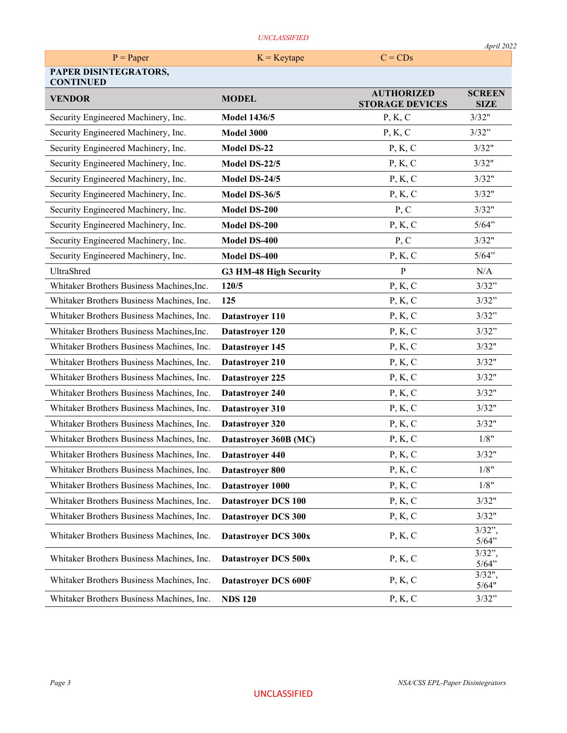### UNCLASSIFIED

|                                           | UNCLASSIFIED               |                                             | April 2022                   |
|-------------------------------------------|----------------------------|---------------------------------------------|------------------------------|
| $P = Paper$                               | $K = Key tape$             | $C = CDs$                                   |                              |
| PAPER DISINTEGRATORS,<br><b>CONTINUED</b> |                            |                                             |                              |
| <b>VENDOR</b>                             | <b>MODEL</b>               | <b>AUTHORIZED</b><br><b>STORAGE DEVICES</b> | <b>SCREEN</b><br><b>SIZE</b> |
| Security Engineered Machinery, Inc.       | <b>Model 1436/5</b>        | P, K, C                                     | 3/32"                        |
| Security Engineered Machinery, Inc.       | <b>Model 3000</b>          | P, K, C                                     | 3/32"                        |
| Security Engineered Machinery, Inc.       | <b>Model DS-22</b>         | P, K, C                                     | 3/32"                        |
| Security Engineered Machinery, Inc.       | Model DS-22/5              | P, K, C                                     | 3/32"                        |
| Security Engineered Machinery, Inc.       | Model DS-24/5              | P, K, C                                     | 3/32"                        |
| Security Engineered Machinery, Inc.       | Model DS-36/5              | P, K, C                                     | 3/32"                        |
| Security Engineered Machinery, Inc.       | Model DS-200               | P, C                                        | 3/32"                        |
| Security Engineered Machinery, Inc.       | Model DS-200               | P, K, C                                     | 5/64"                        |
| Security Engineered Machinery, Inc.       | Model DS-400               | P, C                                        | 3/32"                        |
| Security Engineered Machinery, Inc.       | <b>Model DS-400</b>        | P, K, C                                     | 5/64"                        |
| UltraShred                                | G3 HM-48 High Security     | $\mathbf{P}$                                | N/A                          |
| Whitaker Brothers Business Machines, Inc. | 120/5                      | P, K, C                                     | 3/32"                        |
| Whitaker Brothers Business Machines, Inc. | 125                        | P, K, C                                     | 3/32"                        |
| Whitaker Brothers Business Machines, Inc. | Datastroyer 110            | P, K, C                                     | 3/32"                        |
| Whitaker Brothers Business Machines, Inc. | Datastroyer 120            | P, K, C                                     | 3/32"                        |
| Whitaker Brothers Business Machines, Inc. | Datastroyer 145            | P, K, C                                     | 3/32"                        |
| Whitaker Brothers Business Machines, Inc. | Datastroyer 210            | P, K, C                                     | 3/32"                        |
| Whitaker Brothers Business Machines, Inc. | Datastroyer 225            | P, K, C                                     | 3/32"                        |
| Whitaker Brothers Business Machines, Inc. | Datastroyer 240            | P, K, C                                     | 3/32"                        |
| Whitaker Brothers Business Machines, Inc. | Datastroyer 310            | P, K, C                                     | 3/32"                        |
| Whitaker Brothers Business Machines, Inc. | Datastroyer 320            | P, K, C                                     | 3/32"                        |
| Whitaker Brothers Business Machines, Inc. | Datastroyer 360B (MC)      | P, K, C                                     | 1/8"                         |
| Whitaker Brothers Business Machines, Inc. | Datastroyer 440            | P, K, C                                     | 3/32"                        |
| Whitaker Brothers Business Machines, Inc. | Datastroyer 800            | P, K, C                                     | 1/8"                         |
| Whitaker Brothers Business Machines, Inc. | Datastroyer 1000           | P, K, C                                     | 1/8"                         |
| Whitaker Brothers Business Machines, Inc. | <b>Datastroyer DCS 100</b> | P, K, C                                     | 3/32"                        |
| Whitaker Brothers Business Machines, Inc. | Datastroyer DCS 300        | P, K, C                                     | 3/32"                        |
| Whitaker Brothers Business Machines, Inc. | Datastroyer DCS 300x       | P, K, C                                     | $3/32$ "<br>5/64"            |
| Whitaker Brothers Business Machines, Inc. | Datastroyer DCS 500x       | P, K, C                                     | $3/32$ "<br>5/64"            |
| Whitaker Brothers Business Machines, Inc. | Datastroyer DCS 600F       | P, K, C                                     | 3/32",<br>5/64"              |
| Whitaker Brothers Business Machines, Inc. | <b>NDS 120</b>             | P, K, C                                     | 3/32"                        |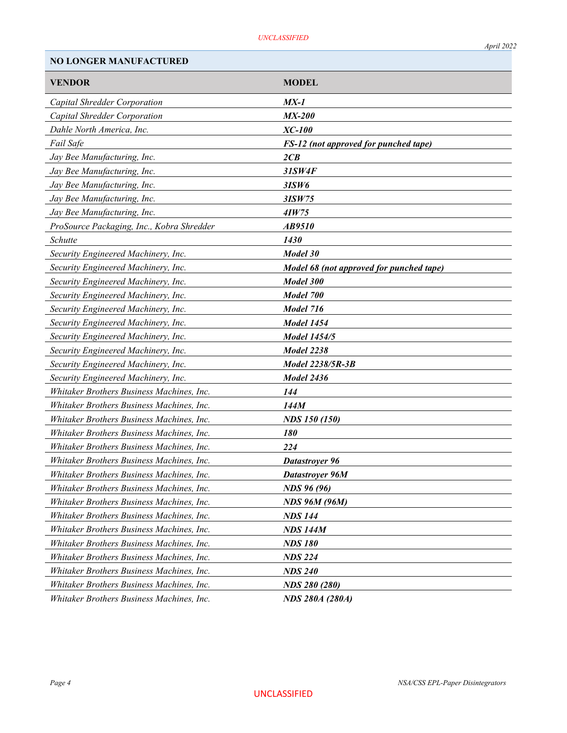NO LONGER MANUFACTURED

| <b>VENDOR</b>                             | <b>MODEL</b>                             |
|-------------------------------------------|------------------------------------------|
| Capital Shredder Corporation              | $MX-1$                                   |
| Capital Shredder Corporation              | <b>MX-200</b>                            |
| Dahle North America, Inc.                 | XC-100                                   |
| Fail Safe                                 | FS-12 (not approved for punched tape)    |
| Jay Bee Manufacturing, Inc.               | 2CB                                      |
| Jay Bee Manufacturing, Inc.               | 31SW4F                                   |
| Jay Bee Manufacturing, Inc.               | 3ISW6                                    |
| Jay Bee Manufacturing, Inc.               | 3ISW75                                   |
| Jay Bee Manufacturing, Inc.               | 4IW75                                    |
| ProSource Packaging, Inc., Kobra Shredder | AB9510                                   |
| Schutte                                   | 1430                                     |
| Security Engineered Machinery, Inc.       | Model 30                                 |
| Security Engineered Machinery, Inc.       | Model 68 (not approved for punched tape) |
| Security Engineered Machinery, Inc.       | Model 300                                |
| Security Engineered Machinery, Inc.       | Model 700                                |
| Security Engineered Machinery, Inc.       | Model 716                                |
| Security Engineered Machinery, Inc.       | <b>Model 1454</b>                        |
| Security Engineered Machinery, Inc.       | <b>Model 1454/5</b>                      |
| Security Engineered Machinery, Inc.       | Model 2238                               |
| Security Engineered Machinery, Inc.       | Model 2238/5R-3B                         |
| Security Engineered Machinery, Inc.       | Model 2436                               |
| Whitaker Brothers Business Machines, Inc. | 144                                      |
| Whitaker Brothers Business Machines, Inc. | 144M                                     |
| Whitaker Brothers Business Machines, Inc. | <b>NDS</b> 150 (150)                     |
| Whitaker Brothers Business Machines, Inc. | 180                                      |
| Whitaker Brothers Business Machines, Inc. | 224                                      |
| Whitaker Brothers Business Machines, Inc. | Datastrover 96                           |
| Whitaker Brothers Business Machines, Inc. | Datastroyer 96M                          |
| Whitaker Brothers Business Machines, Inc. | <b>NDS 96 (96)</b>                       |
| Whitaker Brothers Business Machines, Inc. | <b>NDS 96M (96M)</b>                     |
| Whitaker Brothers Business Machines, Inc. | <b>NDS 144</b>                           |
| Whitaker Brothers Business Machines, Inc. | <b>NDS 144M</b>                          |
| Whitaker Brothers Business Machines, Inc. | <b>NDS 180</b>                           |
| Whitaker Brothers Business Machines, Inc. | <b>NDS 224</b>                           |
| Whitaker Brothers Business Machines, Inc. | <b>NDS 240</b>                           |
| Whitaker Brothers Business Machines, Inc. | <b>NDS 280 (280)</b>                     |
| Whitaker Brothers Business Machines, Inc. | <b>NDS 280A (280A)</b>                   |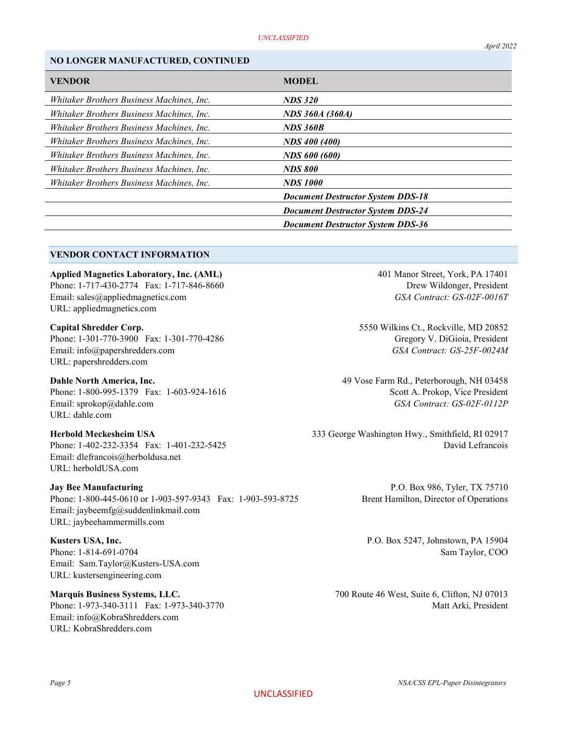### NO LONGER MANUFACTURED, CONTINUED

| <b>VENDOR</b>                             | <b>MODEL</b>                             |
|-------------------------------------------|------------------------------------------|
| Whitaker Brothers Business Machines, Inc. | <b>NDS 320</b>                           |
| Whitaker Brothers Business Machines, Inc. | NDS 360A (360A)                          |
| Whitaker Brothers Business Machines, Inc. | <b>NDS 360B</b>                          |
| Whitaker Brothers Business Machines, Inc. | <b>NDS 400 (400)</b>                     |
| Whitaker Brothers Business Machines, Inc. | <b>NDS 600 (600)</b>                     |
| Whitaker Brothers Business Machines, Inc. | <b>NDS 800</b>                           |
| Whitaker Brothers Business Machines, Inc. | <b>NDS 1000</b>                          |
|                                           | <b>Document Destructor System DDS-18</b> |
|                                           | <b>Document Destructor System DDS-24</b> |
|                                           | <b>Document Destructor System DDS-36</b> |

### VENDOR CONTACT INFORMATION

Applied Magnetics Laboratory, Inc. (AML) 401 Manor Street, York, PA 17401

Phone: 1-717-430-2774 Fax: 1-717-846-8660 Drew Wildonger, President Email: sales@appliedmagnetics.com GSA Contract: GS-02F-0016T URL: appliedmagnetics.com

Capital Shredder Corp. 5550 Wilkins Ct., Rockville, MD 20852 Phone: 1-301-770-3900 Fax: 1-301-770-4286 Gregory V. DiGioia, President Email: info@papershredders.com GSA Contract: GS-25F-0024M URL: papershredders.com

Phone: 1-800-995-1379 Fax: 1-603-924-1616 Scott A. Prokop, Vice President Email: sprokop@dahle.com GSA Contract: GS-02F-0112P URL: dahle.com

Email: dlefrancois@herboldusa.net URL: herboldUSA.com

**Jay Bee Manufacturing** Decrees and the extended problem in the P.O. Box 986, Tyler, TX 75710 Phone: 1-800-445-0610 or 1-903-597-9343 Fax: 1-903-593-8725 Brent Hamilton, Director of Operations Email: jaybeemfg@suddenlinkmail.com URL: jaybeehammermills.com

Kusters USA, Inc. **P.O. Box 5247, Johnstown, PA 15904** Phone: 1-814-691-0704 Sam Taylor, COO Email: Sam.Taylor@Kusters-USA.com URL: kustersengineering.com

Email: info@KobraShredders.com URL: KobraShredders.com

Dahle North America, Inc. 49 Vose Farm Rd., Peterborough, NH 03458

Herbold Meckesheim USA 333 George Washington Hwy., Smithfield, RI 02917 Phone: 1-402-232-3354 Fax: 1-401-232-5425 David Lefrancois

Marquis Business Systems, LLC. 700 Route 46 West, Suite 6, Clifton, NJ 07013 Phone: 1-973-340-3111 Fax: 1-973-340-3770 Matt Arki, President